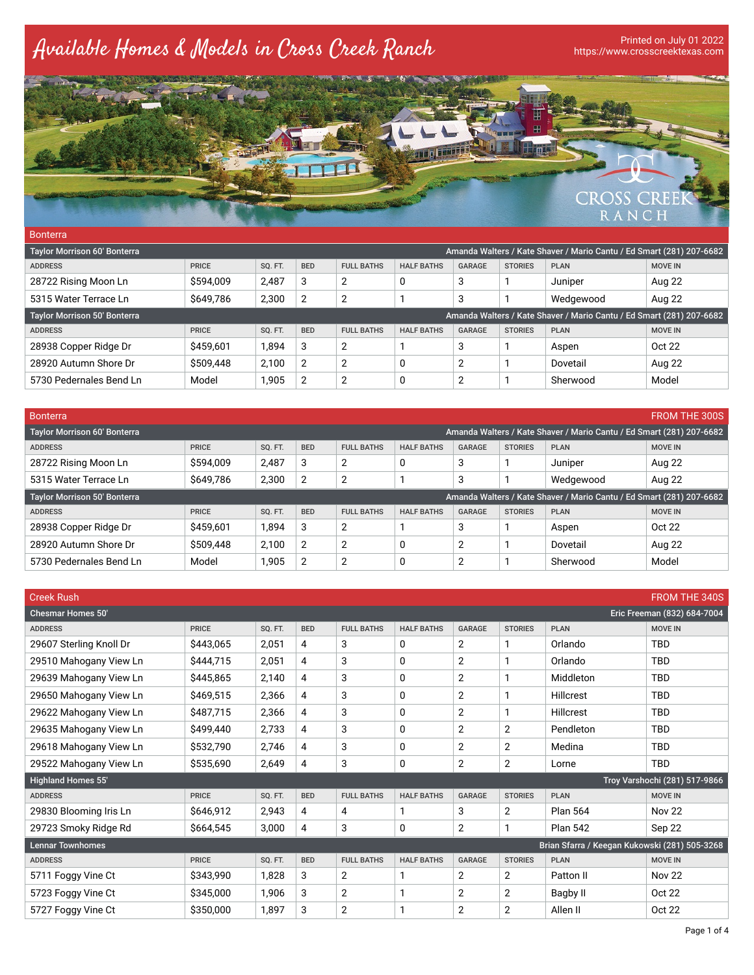## Available Homes & Models in Cross Creek Ranch

## https://www.crosscreektexas.com



| <b>Bonterra</b>                                                                                             |              |                |                |                   |                   |                |                |                                                                      |                |  |  |
|-------------------------------------------------------------------------------------------------------------|--------------|----------------|----------------|-------------------|-------------------|----------------|----------------|----------------------------------------------------------------------|----------------|--|--|
| Amanda Walters / Kate Shaver / Mario Cantu / Ed Smart (281) 207-6682<br><b>Taylor Morrison 60' Bonterra</b> |              |                |                |                   |                   |                |                |                                                                      |                |  |  |
| <b>ADDRESS</b>                                                                                              | <b>PRICE</b> | SQ. FT.        | <b>BED</b>     | <b>FULL BATHS</b> | <b>HALF BATHS</b> | <b>GARAGE</b>  | <b>STORIES</b> | <b>PLAN</b>                                                          | <b>MOVE IN</b> |  |  |
| 28722 Rising Moon Ln                                                                                        | \$594,009    | 2,487          | 3              | 2                 | 0                 | 3              |                | Juniper                                                              | Aug 22         |  |  |
| 5315 Water Terrace Ln                                                                                       | \$649,786    | 2,300          | $\overline{2}$ | 2                 |                   | 3              |                | Wedgewood                                                            | Aug 22         |  |  |
| <b>Taylor Morrison 50' Bonterra</b>                                                                         |              |                |                |                   |                   |                |                | Amanda Walters / Kate Shaver / Mario Cantu / Ed Smart (281) 207-6682 |                |  |  |
| <b>ADDRESS</b>                                                                                              | <b>PRICE</b> | <b>SO. FT.</b> | <b>BED</b>     | <b>FULL BATHS</b> | <b>HALF BATHS</b> | <b>GARAGE</b>  | <b>STORIES</b> | <b>PLAN</b>                                                          | <b>MOVE IN</b> |  |  |
| 28938 Copper Ridge Dr                                                                                       | \$459,601    | 1.894          | 3              | 2                 |                   | 3              |                | Aspen                                                                | Oct 22         |  |  |
| 28920 Autumn Shore Dr                                                                                       | \$509,448    | 2.100          | $\overline{2}$ | $\overline{2}$    | 0                 | $\overline{2}$ |                | Dovetail                                                             | Aug 22         |  |  |
| 5730 Pedernales Bend Ln                                                                                     | Model        | 1,905          | $\overline{2}$ | $\overline{2}$    | 0                 | $\overline{2}$ |                | Sherwood                                                             | Model          |  |  |

| Bonterra                                                                                                    |              |         |                |                   |                   |                |                |                                                                      | <b>FROM THE 300S</b> |  |
|-------------------------------------------------------------------------------------------------------------|--------------|---------|----------------|-------------------|-------------------|----------------|----------------|----------------------------------------------------------------------|----------------------|--|
| Amanda Walters / Kate Shaver / Mario Cantu / Ed Smart (281) 207-6682<br><b>Taylor Morrison 60' Bonterra</b> |              |         |                |                   |                   |                |                |                                                                      |                      |  |
| <b>ADDRESS</b>                                                                                              | <b>PRICE</b> | SQ. FT. | <b>BED</b>     | <b>FULL BATHS</b> | <b>HALF BATHS</b> | <b>GARAGE</b>  | <b>STORIES</b> | <b>PLAN</b>                                                          | <b>MOVE IN</b>       |  |
| 28722 Rising Moon Ln                                                                                        | \$594,009    | 2,487   | 3              |                   | 0                 | 3              |                | Juniper                                                              | Aug 22               |  |
| 5315 Water Terrace Ln                                                                                       | \$649,786    | 2,300   | $\overline{2}$ | 2                 |                   | 3              |                | Wedgewood                                                            | Aug 22               |  |
| <b>Taylor Morrison 50' Bonterra</b>                                                                         |              |         |                |                   |                   |                |                | Amanda Walters / Kate Shaver / Mario Cantu / Ed Smart (281) 207-6682 |                      |  |
| <b>ADDRESS</b>                                                                                              | <b>PRICE</b> | SQ. FT. | <b>BED</b>     | <b>FULL BATHS</b> | <b>HALF BATHS</b> | <b>GARAGE</b>  | <b>STORIES</b> | <b>PLAN</b>                                                          | <b>MOVE IN</b>       |  |
| 28938 Copper Ridge Dr                                                                                       | \$459,601    | 1,894   | 3              | 2                 |                   | 3              |                | Aspen                                                                | Oct 22               |  |
| 28920 Autumn Shore Dr                                                                                       | \$509,448    | 2,100   | $\overline{2}$ | 2                 | 0                 | $\overline{2}$ |                | Dovetail                                                             | Aug 22               |  |
| 5730 Pedernales Bend Ln                                                                                     | Model        | 1,905   | $\overline{2}$ | 2                 | 0                 | $\overline{2}$ |                | Sherwood                                                             | Model                |  |

| <b>Creek Rush</b>         |              |         |            |                   |                   |               |                |                                               | <b>FROM THE 340S</b>          |
|---------------------------|--------------|---------|------------|-------------------|-------------------|---------------|----------------|-----------------------------------------------|-------------------------------|
| Chesmar Homes 50'         |              |         |            |                   |                   |               |                |                                               | Eric Freeman (832) 684-7004   |
| <b>ADDRESS</b>            | <b>PRICE</b> | SQ. FT. | <b>BED</b> | <b>FULL BATHS</b> | <b>HALF BATHS</b> | <b>GARAGE</b> | <b>STORIES</b> | <b>PLAN</b>                                   | <b>MOVE IN</b>                |
| 29607 Sterling Knoll Dr   | \$443,065    | 2,051   | 4          | 3                 | 0                 | 2             | 1              | Orlando                                       | <b>TBD</b>                    |
| 29510 Mahogany View Ln    | \$444,715    | 2,051   | 4          | 3                 | 0                 | 2             | 1              | Orlando                                       | <b>TBD</b>                    |
| 29639 Mahogany View Ln    | \$445,865    | 2,140   | 4          | 3                 | 0                 | 2             | 1              | Middleton                                     | <b>TBD</b>                    |
| 29650 Mahogany View Ln    | \$469,515    | 2,366   | 4          | 3                 | 0                 | 2             | 1              | Hillcrest                                     | <b>TBD</b>                    |
| 29622 Mahogany View Ln    | \$487,715    | 2,366   | 4          | 3                 | 0                 | $\mathbf{2}$  | 1              | <b>Hillcrest</b>                              | <b>TBD</b>                    |
| 29635 Mahogany View Ln    | \$499,440    | 2,733   | 4          | 3                 | 0                 | 2             | 2              | Pendleton                                     | <b>TBD</b>                    |
| 29618 Mahogany View Ln    | \$532,790    | 2,746   | 4          | 3                 | 0                 | 2             | 2              | Medina                                        | <b>TBD</b>                    |
| 29522 Mahogany View Ln    | \$535,690    | 2,649   | 4          | 3                 | 0                 | 2             | 2              | Lorne                                         | <b>TBD</b>                    |
| <b>Highland Homes 55'</b> |              |         |            |                   |                   |               |                |                                               | Troy Varshochi (281) 517-9866 |
| <b>ADDRESS</b>            | <b>PRICE</b> | SQ. FT. | <b>BED</b> | <b>FULL BATHS</b> | <b>HALF BATHS</b> | <b>GARAGE</b> | <b>STORIES</b> | <b>PLAN</b>                                   | <b>MOVE IN</b>                |
| 29830 Blooming Iris Ln    | \$646,912    | 2,943   | 4          | 4                 | 1                 | 3             | $\overline{2}$ | <b>Plan 564</b>                               | <b>Nov 22</b>                 |
| 29723 Smoky Ridge Rd      | \$664,545    | 3,000   | 4          | 3                 | 0                 | 2             | 1              | <b>Plan 542</b>                               | Sep 22                        |
| Lennar Townhomes          |              |         |            |                   |                   |               |                | Brian Sfarra / Keegan Kukowski (281) 505-3268 |                               |
| <b>ADDRESS</b>            | <b>PRICE</b> | SQ. FT. | <b>BED</b> | <b>FULL BATHS</b> | <b>HALF BATHS</b> | <b>GARAGE</b> | <b>STORIES</b> | <b>PLAN</b>                                   | <b>MOVE IN</b>                |
| 5711 Foggy Vine Ct        | \$343,990    | 1,828   | 3          | $\overline{2}$    | 1                 | 2             | 2              | Patton II                                     | <b>Nov 22</b>                 |
| 5723 Foggy Vine Ct        | \$345,000    | 1,906   | 3          | $\overline{2}$    | 1                 | 2             | 2              | Bagby II                                      | Oct 22                        |
| 5727 Foggy Vine Ct        | \$350,000    | 1,897   | 3          | 2                 |                   | 2             | 2              | Allen II                                      | <b>Oct 22</b>                 |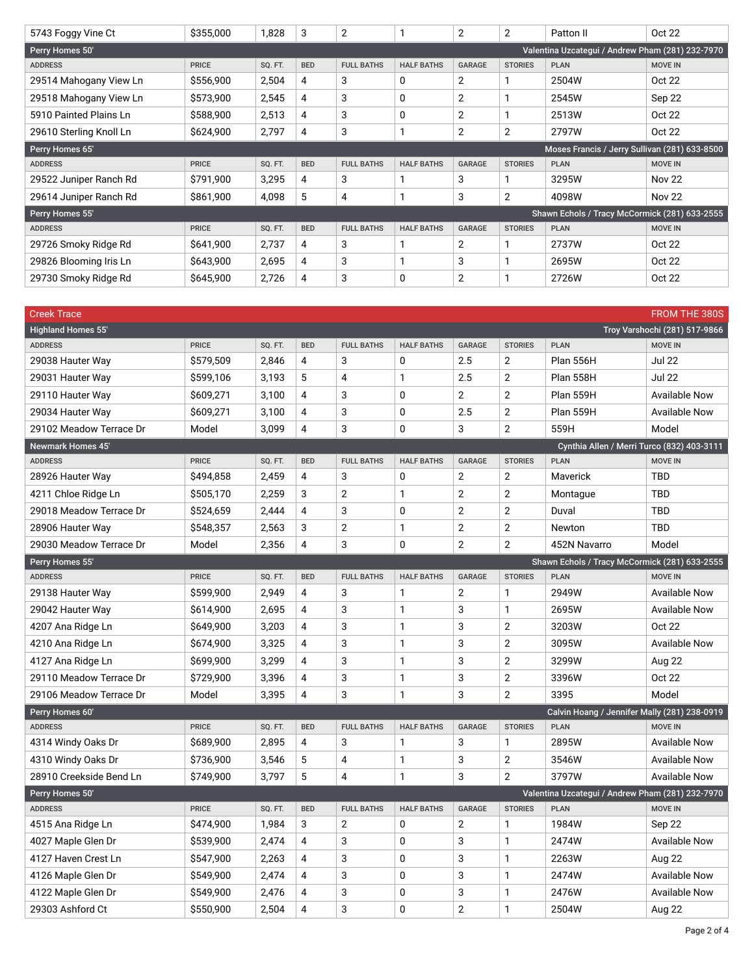| 5743 Foggy Vine Ct      | \$355,000    | 1,828   | 3          | $\overline{2}$    |                   | $\overline{2}$ | 2              | Patton II                                        | Oct 22         |
|-------------------------|--------------|---------|------------|-------------------|-------------------|----------------|----------------|--------------------------------------------------|----------------|
| Perry Homes 50'         |              |         |            |                   |                   |                |                | Valentina Uzcategui / Andrew Pham (281) 232-7970 |                |
| <b>ADDRESS</b>          | <b>PRICE</b> | SQ. FT. | <b>BED</b> | <b>FULL BATHS</b> | <b>HALF BATHS</b> | GARAGE         | <b>STORIES</b> | <b>PLAN</b>                                      | <b>MOVE IN</b> |
| 29514 Mahogany View Ln  | \$556,900    | 2,504   | 4          | 3                 | 0                 | $\overline{2}$ |                | 2504W                                            | Oct 22         |
| 29518 Mahogany View Ln  | \$573,900    | 2,545   | 4          | 3                 | 0                 | $\overline{2}$ |                | 2545W                                            | Sep 22         |
| 5910 Painted Plains Ln  | \$588,900    | 2,513   | 4          | 3                 | 0                 | $\overline{2}$ |                | 2513W                                            | Oct 22         |
| 29610 Sterling Knoll Ln | \$624,900    | 2,797   | 4          | 3                 | 1                 | 2              | 2              | 2797W                                            | Oct 22         |
| Perry Homes 65'         |              |         |            |                   |                   |                |                | Moses Francis / Jerry Sullivan (281) 633-8500    |                |
| <b>ADDRESS</b>          | <b>PRICE</b> | SQ. FT. | <b>BED</b> | <b>FULL BATHS</b> | <b>HALF BATHS</b> | GARAGE         | <b>STORIES</b> | <b>PLAN</b>                                      | <b>MOVE IN</b> |
| 29522 Juniper Ranch Rd  | \$791,900    | 3,295   | 4          | 3                 | 1                 | 3              |                | 3295W                                            | <b>Nov 22</b>  |
| 29614 Juniper Ranch Rd  | \$861,900    | 4,098   | 5          | 4                 |                   | 3              | 2              | 4098W                                            | <b>Nov 22</b>  |
| Perry Homes 55'         |              |         |            |                   |                   |                |                | Shawn Echols / Tracy McCormick (281) 633-2555    |                |
| <b>ADDRESS</b>          | <b>PRICE</b> | SQ. FT. | <b>BED</b> | <b>FULL BATHS</b> | <b>HALF BATHS</b> | GARAGE         | <b>STORIES</b> | <b>PLAN</b>                                      | <b>MOVE IN</b> |
| 29726 Smoky Ridge Rd    | \$641,900    | 2,737   | 4          | 3                 |                   | 2              |                | 2737W                                            | Oct 22         |
| 29826 Blooming Iris Ln  | \$643,900    | 2,695   | 4          | 3                 |                   | 3              |                | 2695W                                            | Oct 22         |
| 29730 Smoky Ridge Rd    | \$645,900    | 2,726   | 4          | 3                 | 0                 | 2              |                | 2726W                                            | Oct 22         |

| <b>Creek Trace</b>        |              |         |                |                   |                   |                |                |                                                  | <b>FROM THE 380S</b>          |
|---------------------------|--------------|---------|----------------|-------------------|-------------------|----------------|----------------|--------------------------------------------------|-------------------------------|
| <b>Highland Homes 55'</b> |              |         |                |                   |                   |                |                |                                                  | Troy Varshochi (281) 517-9866 |
| <b>ADDRESS</b>            | <b>PRICE</b> | SQ. FT. | <b>BED</b>     | <b>FULL BATHS</b> | <b>HALF BATHS</b> | GARAGE         | <b>STORIES</b> | <b>PLAN</b>                                      | <b>MOVE IN</b>                |
| 29038 Hauter Way          | \$579,509    | 2,846   | 4              | 3                 | 0                 | 2.5            | $\overline{2}$ | Plan 556H                                        | <b>Jul 22</b>                 |
| 29031 Hauter Way          | \$599,106    | 3,193   | 5              | 4                 | 1                 | 2.5            | $\overline{2}$ | Plan 558H                                        | <b>Jul 22</b>                 |
| 29110 Hauter Way          | \$609,271    | 3,100   | 4              | 3                 | 0                 | 2              | $\overline{2}$ | Plan 559H                                        | <b>Available Now</b>          |
| 29034 Hauter Way          | \$609,271    | 3,100   | $\overline{4}$ | 3                 | 0                 | 2.5            | $\overline{2}$ | <b>Plan 559H</b>                                 | <b>Available Now</b>          |
| 29102 Meadow Terrace Dr   | Model        | 3,099   | 4              | 3                 | 0                 | 3              | $\overline{2}$ | 559H                                             | Model                         |
| <b>Newmark Homes 45'</b>  |              |         |                |                   |                   |                |                | Cynthia Allen / Merri Turco (832) 403-3111       |                               |
| <b>ADDRESS</b>            | <b>PRICE</b> | SQ. FT. | <b>BED</b>     | <b>FULL BATHS</b> | <b>HALF BATHS</b> | GARAGE         | <b>STORIES</b> | <b>PLAN</b>                                      | <b>MOVE IN</b>                |
| 28926 Hauter Way          | \$494,858    | 2,459   | 4              | 3                 | 0                 | 2              | $\overline{2}$ | Maverick                                         | <b>TBD</b>                    |
| 4211 Chloe Ridge Ln       | \$505,170    | 2,259   | 3              | 2                 | 1                 | $\overline{2}$ | $\overline{2}$ | Montague                                         | TBD                           |
| 29018 Meadow Terrace Dr   | \$524,659    | 2,444   | $\overline{4}$ | 3                 | 0                 | 2              | $\overline{2}$ | Duval                                            | <b>TBD</b>                    |
| 28906 Hauter Way          | \$548,357    | 2,563   | 3              | $\overline{2}$    | $\mathbf{1}$      | $\mathbf{2}$   | $\overline{2}$ | <b>Newton</b>                                    | <b>TBD</b>                    |
| 29030 Meadow Terrace Dr   | Model        | 2,356   | 4              | 3                 | 0                 | $\overline{2}$ | $\overline{2}$ | 452N Navarro                                     | Model                         |
| Perry Homes 55'           |              |         |                |                   |                   |                |                | Shawn Echols / Tracy McCormick (281) 633-2555    |                               |
| <b>ADDRESS</b>            | <b>PRICE</b> | SQ. FT. | <b>BED</b>     | <b>FULL BATHS</b> | <b>HALF BATHS</b> | <b>GARAGE</b>  | <b>STORIES</b> | <b>PLAN</b>                                      | <b>MOVE IN</b>                |
| 29138 Hauter Way          | \$599,900    | 2,949   | 4              | 3                 | $\mathbf{1}$      | $\overline{2}$ | $\mathbf{1}$   | 2949W                                            | <b>Available Now</b>          |
| 29042 Hauter Way          | \$614,900    | 2,695   | 4              | 3                 | 1                 | 3              | $\mathbf{1}$   | 2695W                                            | <b>Available Now</b>          |
| 4207 Ana Ridge Ln         | \$649,900    | 3,203   | $\overline{4}$ | 3                 | 1                 | 3              | $\overline{2}$ | 3203W                                            | <b>Oct 22</b>                 |
| 4210 Ana Ridge Ln         | \$674,900    | 3,325   | $\overline{4}$ | 3                 | 1                 | 3              | $\overline{2}$ | 3095W                                            | <b>Available Now</b>          |
| 4127 Ana Ridge Ln         | \$699,900    | 3,299   | 4              | 3                 | 1                 | 3              | $\overline{2}$ | 3299W                                            | Aug 22                        |
| 29110 Meadow Terrace Dr   | \$729,900    | 3,396   | 4              | 3                 | 1                 | 3              | $\overline{2}$ | 3396W                                            | <b>Oct 22</b>                 |
| 29106 Meadow Terrace Dr   | Model        | 3,395   | 4              | 3                 | $\mathbf{1}$      | 3              | $\overline{2}$ | 3395                                             | Model                         |
| Perry Homes 60'           |              |         |                |                   |                   |                |                | Calvin Hoang / Jennifer Mally (281) 238-0919     |                               |
| <b>ADDRESS</b>            | <b>PRICE</b> | SQ. FT. | <b>BED</b>     | <b>FULL BATHS</b> | <b>HALF BATHS</b> | <b>GARAGE</b>  | <b>STORIES</b> | <b>PLAN</b>                                      | <b>MOVE IN</b>                |
| 4314 Windy Oaks Dr        | \$689,900    | 2,895   | 4              | 3                 | $\mathbf{1}$      | 3              | $\mathbf{1}$   | 2895W                                            | <b>Available Now</b>          |
| 4310 Windy Oaks Dr        | \$736,900    | 3,546   | 5              | 4                 | 1                 | 3              | $\overline{2}$ | 3546W                                            | <b>Available Now</b>          |
| 28910 Creekside Bend Ln   | \$749,900    | 3,797   | 5              | 4                 | 1                 | 3              | 2              | 3797W                                            | <b>Available Now</b>          |
| Perry Homes 50'           |              |         |                |                   |                   |                |                | Valentina Uzcategui / Andrew Pham (281) 232-7970 |                               |
| <b>ADDRESS</b>            | <b>PRICE</b> | SQ. FT. | <b>BED</b>     | <b>FULL BATHS</b> | <b>HALF BATHS</b> | GARAGE         | <b>STORIES</b> | <b>PLAN</b>                                      | <b>MOVE IN</b>                |
| 4515 Ana Ridge Ln         | \$474,900    | 1,984   | 3              | 2                 | 0                 | 2              | $\mathbf{1}$   | 1984W                                            | Sep 22                        |
| 4027 Maple Glen Dr        | \$539,900    | 2,474   | 4              | 3                 | 0                 | 3              | $\mathbf{1}$   | 2474W                                            | <b>Available Now</b>          |
| 4127 Haven Crest Ln       | \$547,900    | 2,263   | 4              | 3                 | 0                 | 3              | $\mathbf{1}$   | 2263W                                            | Aug 22                        |
| 4126 Maple Glen Dr        | \$549,900    | 2,474   | 4              | 3                 | 0                 | 3              | $\mathbf{1}$   | 2474W                                            | <b>Available Now</b>          |
| 4122 Maple Glen Dr        | \$549,900    | 2,476   | 4              | 3                 | 0                 | 3              | $\mathbf{1}$   | 2476W                                            | <b>Available Now</b>          |
| 29303 Ashford Ct          | \$550,900    | 2,504   | $\overline{4}$ | 3                 | 0                 | 2              | $\mathbf{1}$   | 2504W                                            | Aug 22                        |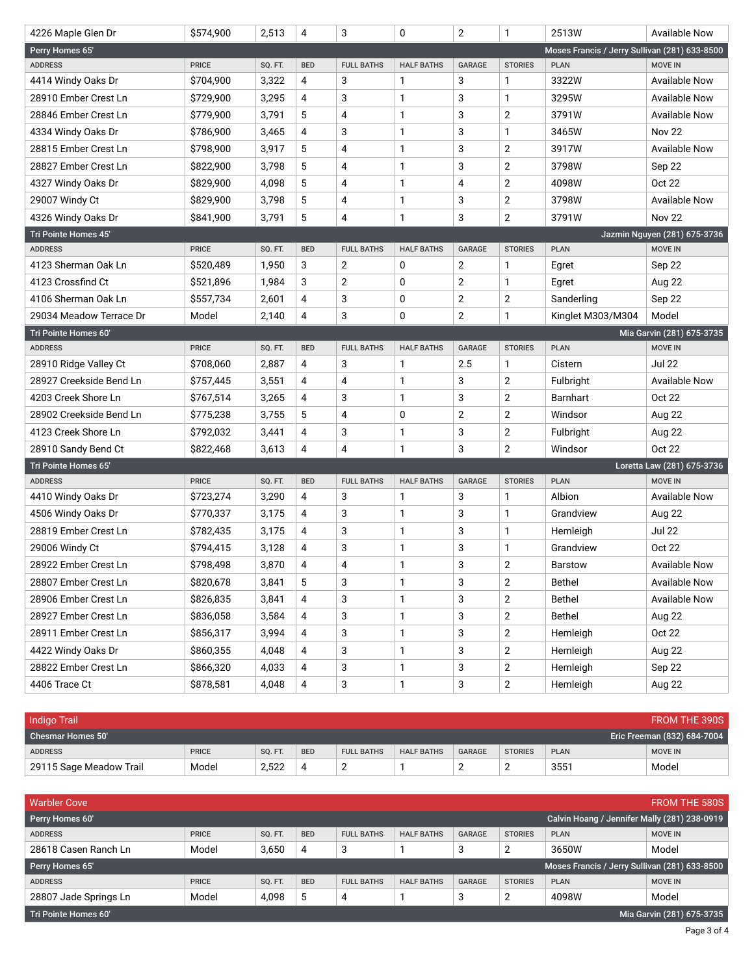| 4226 Maple Glen Dr      | \$574,900    | 2,513   | 4          | 3                 | 0                 | $\overline{2}$ | 1                | 2513W                                         | <b>Available Now</b>         |
|-------------------------|--------------|---------|------------|-------------------|-------------------|----------------|------------------|-----------------------------------------------|------------------------------|
| Perry Homes 65'         |              |         |            |                   |                   |                |                  | Moses Francis / Jerry Sullivan (281) 633-8500 |                              |
| <b>ADDRESS</b>          | <b>PRICE</b> | SQ. FT. | <b>BED</b> | <b>FULL BATHS</b> | <b>HALF BATHS</b> | <b>GARAGE</b>  | <b>STORIES</b>   | <b>PLAN</b>                                   | <b>MOVE IN</b>               |
| 4414 Windy Oaks Dr      | \$704,900    | 3,322   | 4          | 3                 | 1                 | 3              | $\mathbf{1}$     | 3322W                                         | <b>Available Now</b>         |
| 28910 Ember Crest Ln    | \$729,900    | 3,295   | 4          | 3                 | 1                 | 3              | $\mathbf{1}$     | 3295W                                         | <b>Available Now</b>         |
| 28846 Ember Crest Ln    | \$779,900    | 3,791   | 5          | 4                 | 1                 | 3              | $\overline{2}$   | 3791W                                         | <b>Available Now</b>         |
| 4334 Windy Oaks Dr      | \$786,900    | 3,465   | 4          | 3                 | 1                 | 3              | $\mathbf{1}$     | 3465W                                         | <b>Nov 22</b>                |
| 28815 Ember Crest Ln    | \$798,900    | 3,917   | 5          | 4                 | 1                 | 3              | $\overline{2}$   | 3917W                                         | <b>Available Now</b>         |
| 28827 Ember Crest Ln    | \$822,900    | 3,798   | 5          | 4                 | 1                 | 3              | $\overline{2}$   | 3798W                                         | Sep 22                       |
| 4327 Windy Oaks Dr      | \$829,900    | 4,098   | 5          | 4                 | 1                 | 4              | $\overline{2}$   | 4098W                                         | <b>Oct 22</b>                |
| 29007 Windy Ct          | \$829,900    | 3,798   | 5          | 4                 | 1                 | 3              | $\boldsymbol{2}$ | 3798W                                         | <b>Available Now</b>         |
| 4326 Windy Oaks Dr      | \$841,900    | 3,791   | 5          | 4                 | 1                 | 3              | $\overline{2}$   | 3791W                                         | <b>Nov 22</b>                |
| Tri Pointe Homes 45'    |              |         |            |                   |                   |                |                  |                                               | Jazmin Nguyen (281) 675-3736 |
| <b>ADDRESS</b>          | <b>PRICE</b> | SQ. FT. | <b>BED</b> | <b>FULL BATHS</b> | <b>HALF BATHS</b> | <b>GARAGE</b>  | <b>STORIES</b>   | <b>PLAN</b>                                   | <b>MOVE IN</b>               |
| 4123 Sherman Oak Ln     | \$520,489    | 1,950   | 3          | 2                 | 0                 | 2              | $\mathbf{1}$     | Egret                                         | Sep 22                       |
| 4123 Crossfind Ct       | \$521,896    | 1,984   | 3          | 2                 | 0                 | $\overline{2}$ | $\mathbf{1}$     | Egret                                         | <b>Aug 22</b>                |
| 4106 Sherman Oak Ln     | \$557,734    | 2,601   | 4          | 3                 | 0                 | $\overline{2}$ | $\overline{2}$   | Sanderling                                    | Sep 22                       |
| 29034 Meadow Terrace Dr | Model        | 2,140   | 4          | 3                 | 0                 | 2              | $\mathbf{1}$     | Kinglet M303/M304                             | Model                        |
| Tri Pointe Homes 60'    |              |         |            |                   |                   |                |                  |                                               | Mia Garvin (281) 675-3735    |
| <b>ADDRESS</b>          | <b>PRICE</b> | SQ. FT. | <b>BED</b> | <b>FULL BATHS</b> | <b>HALF BATHS</b> | <b>GARAGE</b>  | <b>STORIES</b>   | <b>PLAN</b>                                   | <b>MOVE IN</b>               |
| 28910 Ridge Valley Ct   | \$708,060    | 2,887   | 4          | 3                 | 1                 | 2.5            | $\mathbf{1}$     | Cistern                                       | <b>Jul 22</b>                |
| 28927 Creekside Bend Ln | \$757,445    | 3,551   | 4          | 4                 | 1                 | 3              | $\overline{2}$   | Fulbright                                     | <b>Available Now</b>         |
| 4203 Creek Shore Ln     | \$767,514    | 3,265   | 4          | 3                 | 1                 | 3              | $\overline{2}$   | Barnhart                                      | Oct 22                       |
| 28902 Creekside Bend Ln | \$775,238    | 3,755   | 5          | 4                 | 0                 | $\overline{2}$ | $\overline{2}$   | Windsor                                       | Aug 22                       |
| 4123 Creek Shore Ln     | \$792,032    | 3,441   | 4          | 3                 | 1                 | 3              | $\overline{2}$   | Fulbright                                     | Aug 22                       |
| 28910 Sandy Bend Ct     | \$822,468    | 3,613   | 4          | 4                 | 1                 | 3              | $\overline{2}$   | Windsor                                       | Oct 22                       |
| Tri Pointe Homes 65'    |              |         |            |                   |                   |                |                  |                                               | Loretta Law (281) 675-3736   |
| <b>ADDRESS</b>          | <b>PRICE</b> | SQ. FT. | <b>BED</b> | <b>FULL BATHS</b> | <b>HALF BATHS</b> | <b>GARAGE</b>  | <b>STORIES</b>   | <b>PLAN</b>                                   | <b>MOVE IN</b>               |
| 4410 Windy Oaks Dr      | \$723,274    | 3,290   | 4          | 3                 | 1                 | 3              | $\mathbf{1}$     | Albion                                        | <b>Available Now</b>         |
| 4506 Windy Oaks Dr      | \$770,337    | 3,175   | 4          | 3                 | 1                 | 3              | $\mathbf{1}$     | Grandview                                     | Aug 22                       |
| 28819 Ember Crest Ln    | \$782,435    | 3,175   | 4          | 3                 | 1                 | 3              | $\mathbf{1}$     | Hemleigh                                      | <b>Jul 22</b>                |
| 29006 Windy Ct          | \$794,415    | 3,128   | 4          | 3                 | 1                 | 3              | $\mathbf{1}$     | Grandview                                     | Oct 22                       |
| 28922 Ember Crest Ln    | \$798.498    | 3,870   | 4          | 4                 | 1                 | 3              | $\overline{2}$   | <b>Barstow</b>                                | <b>Available Now</b>         |
| 28807 Ember Crest Ln    | \$820,678    | 3,841   | 5          | 3                 | 1                 | 3              | $\mathbf{2}$     | <b>Bethel</b>                                 | Available Now                |
| 28906 Ember Crest Ln    | \$826,835    | 3,841   | 4          | 3                 | 1                 | 3              | $\overline{2}$   | <b>Bethel</b>                                 | Available Now                |
| 28927 Ember Crest Ln    | \$836,058    | 3,584   | 4          | 3                 | 1                 | 3              | $\overline{2}$   | <b>Bethel</b>                                 | Aug 22                       |
| 28911 Ember Crest Ln    | \$856,317    | 3,994   | 4          | 3                 | 1                 | 3              | $\sqrt{2}$       | Hemleigh                                      | Oct 22                       |
| 4422 Windy Oaks Dr      | \$860,355    | 4,048   | 4          | 3                 | 1                 | 3              | $\overline{2}$   | Hemleigh                                      | Aug 22                       |
| 28822 Ember Crest Ln    | \$866,320    | 4,033   | 4          | 3                 | 1                 | 3              | $\overline{2}$   | Hemleigh                                      | Sep 22                       |
| 4406 Trace Ct           | \$878,581    | 4,048   | 4          | 3                 | 1                 | 3              | $\mathbf{2}$     | Hemleigh                                      | Aug 22                       |

| Indigo Trail<br>FROM THE 390S |              |         |            |                   |                   |               |                |             |                             |  |
|-------------------------------|--------------|---------|------------|-------------------|-------------------|---------------|----------------|-------------|-----------------------------|--|
| Chesmar Homes 50'             |              |         |            |                   |                   |               |                |             | Eric Freeman (832) 684-7004 |  |
| <b>ADDRESS</b>                | <b>PRICE</b> | SQ. FT. | <b>BED</b> | <b>FULL BATHS</b> | <b>HALF BATHS</b> | <b>GARAGE</b> | <b>STORIES</b> | <b>PLAN</b> | <b>MOVE IN</b>              |  |
| 29115 Sage Meadow Trail       | Model        | 2.522   | 4          | _                 |                   | <u>_</u>      | -              | 3551        | Model                       |  |

| <b>FROM THE 580S</b><br><b>Warbler Cove</b>       |                                              |         |            |                   |                   |               |                |                                               |                |  |
|---------------------------------------------------|----------------------------------------------|---------|------------|-------------------|-------------------|---------------|----------------|-----------------------------------------------|----------------|--|
| Perry Homes 60'                                   | Calvin Hoang / Jennifer Mally (281) 238-0919 |         |            |                   |                   |               |                |                                               |                |  |
| <b>ADDRESS</b>                                    | <b>PRICE</b>                                 | SQ. FT. | <b>BED</b> | <b>FULL BATHS</b> | <b>HALF BATHS</b> | <b>GARAGE</b> | <b>STORIES</b> | <b>PLAN</b>                                   | <b>MOVE IN</b> |  |
| 28618 Casen Ranch Ln                              | Model                                        | 3,650   | 4          | 3                 |                   | 3             | ◠<br>∠         | 3650W                                         | Model          |  |
| Perry Homes 65'                                   |                                              |         |            |                   |                   |               |                | Moses Francis / Jerry Sullivan (281) 633-8500 |                |  |
| <b>ADDRESS</b>                                    | <b>PRICE</b>                                 | SQ. FT. | <b>BED</b> | <b>FULL BATHS</b> | <b>HALF BATHS</b> | <b>GARAGE</b> | <b>STORIES</b> | <b>PLAN</b>                                   | <b>MOVE IN</b> |  |
| 28807 Jade Springs Ln                             | Model                                        | 4,098   | 5          | 4                 |                   | 3             | c              | 4098W                                         | Model          |  |
| Mia Garvin (281) 675-3735<br>Tri Pointe Homes 60' |                                              |         |            |                   |                   |               |                |                                               |                |  |